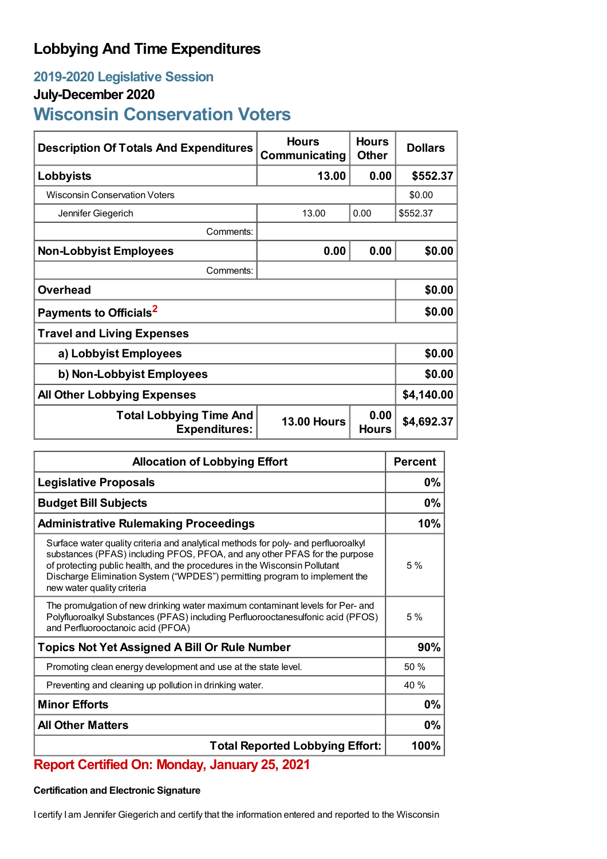# **Lobbying And Time Expenditures**

## **2019-2020 Legislative Session**

## **July-December 2020**

# **Wisconsin Conservation Voters**

| <b>Description Of Totals And Expenditures</b>          | <b>Hours</b><br>Communicating | <b>Hours</b><br><b>Other</b> | <b>Dollars</b> |  |
|--------------------------------------------------------|-------------------------------|------------------------------|----------------|--|
| Lobbyists                                              | 13.00                         | 0.00                         | \$552.37       |  |
| <b>Wisconsin Conservation Voters</b>                   |                               |                              | \$0.00         |  |
| Jennifer Giegerich                                     | 13.00                         | 0.00                         | \$552.37       |  |
| Comments:                                              |                               |                              |                |  |
| <b>Non-Lobbyist Employees</b>                          | 0.00                          | 0.00                         | \$0.00         |  |
| Comments:                                              |                               |                              |                |  |
| <b>Overhead</b>                                        |                               |                              | \$0.00         |  |
| Payments to Officials <sup>2</sup>                     |                               |                              | \$0.00         |  |
| <b>Travel and Living Expenses</b>                      |                               |                              |                |  |
| a) Lobbyist Employees                                  |                               |                              | \$0.00         |  |
| b) Non-Lobbyist Employees                              |                               |                              | \$0.00         |  |
| <b>All Other Lobbying Expenses</b>                     |                               |                              | \$4,140.00     |  |
| <b>Total Lobbying Time And</b><br><b>Expenditures:</b> | <b>13.00 Hours</b>            | 0.00<br><b>Hours</b>         | \$4,692.37     |  |

| <b>Allocation of Lobbying Effort</b>                                                                                                                                                                                                                                                                                                                       |     |
|------------------------------------------------------------------------------------------------------------------------------------------------------------------------------------------------------------------------------------------------------------------------------------------------------------------------------------------------------------|-----|
| <b>Legislative Proposals</b>                                                                                                                                                                                                                                                                                                                               |     |
| <b>Budget Bill Subjects</b>                                                                                                                                                                                                                                                                                                                                |     |
| <b>Administrative Rulemaking Proceedings</b>                                                                                                                                                                                                                                                                                                               |     |
| Surface water quality criteria and analytical methods for poly- and perfluoroalkyl<br>substances (PFAS) including PFOS, PFOA, and any other PFAS for the purpose<br>of protecting public health, and the procedures in the Wisconsin Pollutant<br>Discharge Elimination System ("WPDES") permitting program to implement the<br>new water quality criteria | 5%  |
| The promulgation of new drinking water maximum contaminant levels for Per- and<br>Polyfluoroalkyl Substances (PFAS) including Perfluorooctanesulfonic acid (PFOS)<br>and Perfluorooctanoic acid (PFOA)                                                                                                                                                     | 5%  |
| <b>Topics Not Yet Assigned A Bill Or Rule Number</b>                                                                                                                                                                                                                                                                                                       |     |
| Promoting clean energy development and use at the state level.                                                                                                                                                                                                                                                                                             | 50% |
| Preventing and cleaning up pollution in drinking water.                                                                                                                                                                                                                                                                                                    | 40% |
| <b>Minor Efforts</b>                                                                                                                                                                                                                                                                                                                                       |     |
| <b>All Other Matters</b>                                                                                                                                                                                                                                                                                                                                   |     |
| <b>Total Reported Lobbying Effort:</b>                                                                                                                                                                                                                                                                                                                     |     |

### **Report Certified On: Monday, January 25, 2021**

#### **Certification and Electronic Signature**